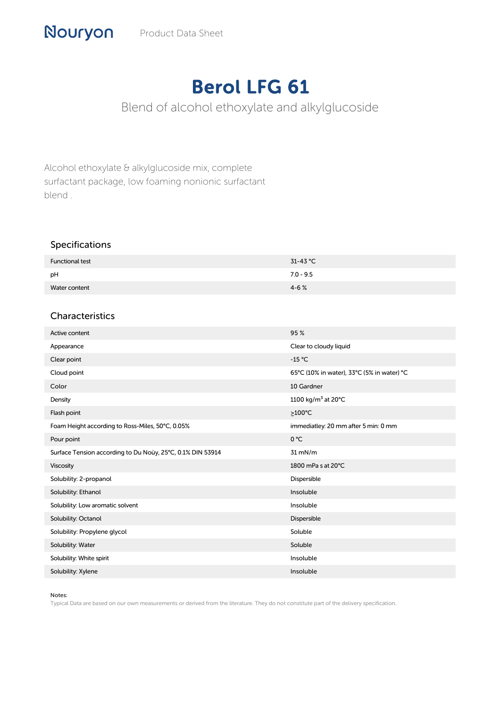## Berol LFG 61

Blend of alcohol ethoxylate and alkylglucoside

Alcohol ethoxylate & alkylglucoside mix, complete surfactant package, low foaming nonionic surfactant blend .

## Specifications

| <b>Functional test</b> | $31-43$ °C  |
|------------------------|-------------|
| pH                     | $7.0 - 9.5$ |
| Water content          | $4 - 6%$    |

## Characteristics

| Active content                                             | 95%                                        |
|------------------------------------------------------------|--------------------------------------------|
| Appearance                                                 | Clear to cloudy liquid                     |
| Clear point                                                | $-15 °C$                                   |
| Cloud point                                                | 65°C (10% in water), 33°C (5% in water) °C |
| Color                                                      | 10 Gardner                                 |
| Density                                                    | 1100 kg/m <sup>3</sup> at 20°C             |
| Flash point                                                | $\geq$ 100°C                               |
| Foam Height according to Ross-Miles, 50°C, 0.05%           | immediatley: 20 mm after 5 min: 0 mm       |
| Pour point                                                 | 0 °C                                       |
| Surface Tension according to Du Noüy, 25°C, 0.1% DIN 53914 | $31$ mN/m                                  |
| Viscosity                                                  | 1800 mPa s at 20°C                         |
| Solubility: 2-propanol                                     | Dispersible                                |
| Solubility: Ethanol                                        | Insoluble                                  |
| Solubility: Low aromatic solvent                           | Insoluble                                  |
| Solubility: Octanol                                        | Dispersible                                |
| Solubility: Propylene glycol                               | Soluble                                    |
| Solubility: Water                                          | Soluble                                    |
| Solubility: White spirit                                   | Insoluble                                  |
| Solubility: Xylene                                         | Insoluble                                  |

## Notes:

Typical Data are based on our own measurements or derived from the literature. They do not constitute part of the delivery specification.